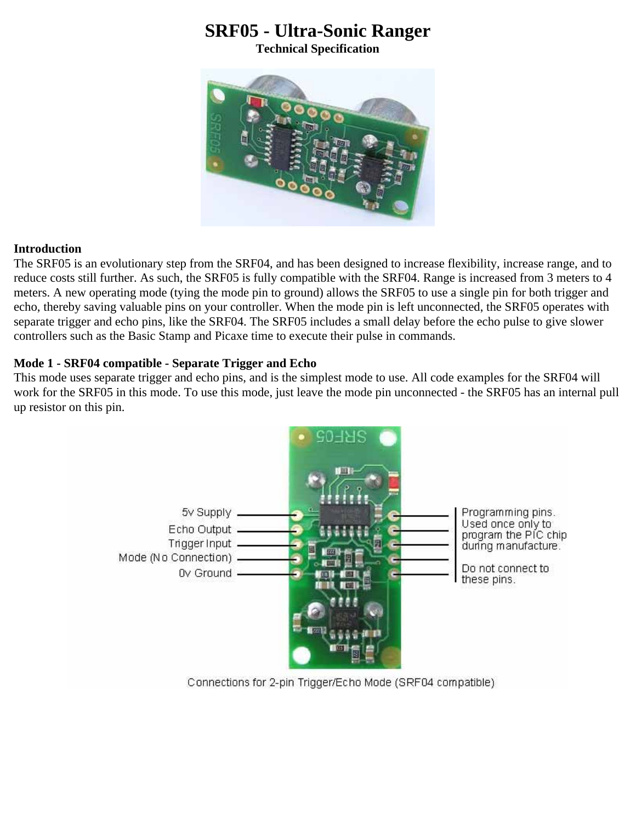# **SRF05 - Ultra-Sonic Ranger**

**Technical Specification**



## **Introduction**

The SRF05 is an evolutionary step from the SRF04, and has been designed to increase flexibility, increase range, and to reduce costs still further. As such, the SRF05 is fully compatible with the SRF04. Range is increased from 3 meters to 4 meters. A new operating mode (tying the mode pin to ground) allows the SRF05 to use a single pin for both trigger and echo, thereby saving valuable pins on your controller. When the mode pin is left unconnected, the SRF05 operates with separate trigger and echo pins, like the SRF04. The SRF05 includes a small delay before the echo pulse to give slower controllers such as the Basic Stamp and Picaxe time to execute their pulse in commands.

## **Mode 1 - SRF04 compatible - Separate Trigger and Echo**

This mode uses separate trigger and echo pins, and is the simplest mode to use. All code examples for the SRF04 will work for the SRF05 in this mode. To use this mode, just leave the mode pin unconnected - the SRF05 has an internal pull up resistor on this pin.



Connections for 2-pin Trigger/Echo Mode (SRF04 compatible)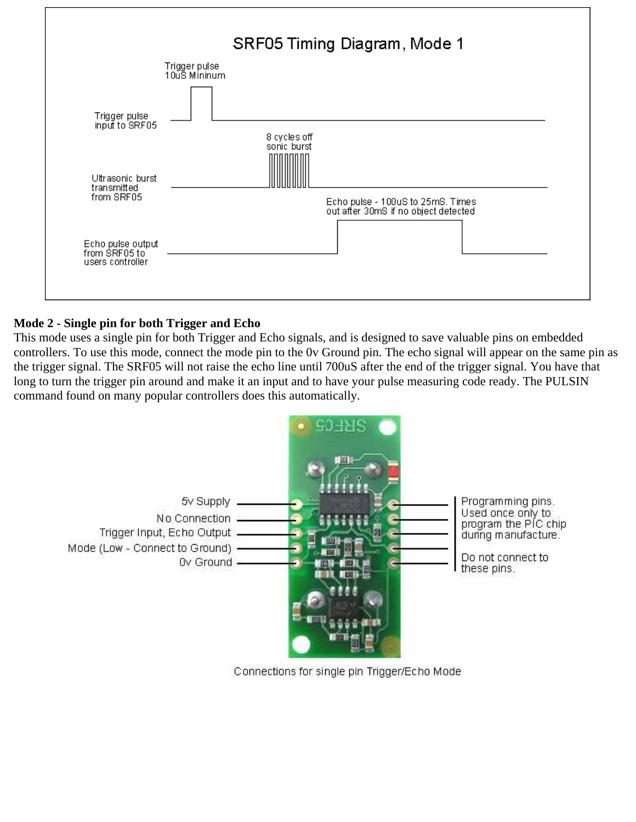

## **Mode 2 - Single pin for both Trigger and Echo**

This mode uses a single pin for both Trigger and Echo signals, and is designed to save valuable pins on embedded controllers. To use this mode, connect the mode pin to the 0v Ground pin. The echo signal will appear on the same pin as the trigger signal. The SRF05 will not raise the echo line until 700uS after the end of the trigger signal. You have that long to turn the trigger pin around and make it an input and to have your pulse measuring code ready. The PULSIN command found on many popular controllers does this automatically.

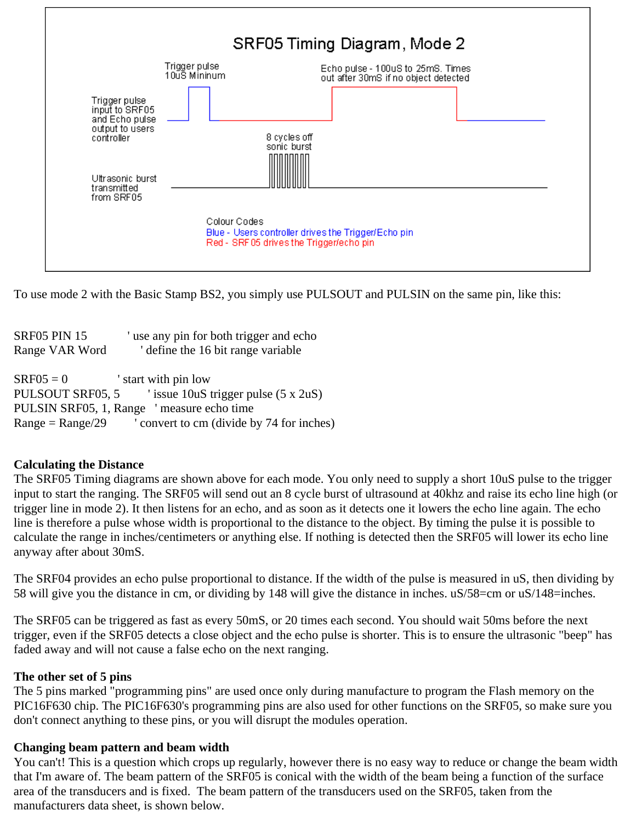

To use mode 2 with the Basic Stamp BS2, you simply use PULSOUT and PULSIN on the same pin, like this:

| <b>SRF05 PIN 15</b>                       | 'use any pin for both trigger and echo              |
|-------------------------------------------|-----------------------------------------------------|
| Range VAR Word                            | define the 16 bit range variable                    |
|                                           |                                                     |
| $SRF05=0$                                 | start with pin low                                  |
|                                           | PULSOUT SRF05, 5 since 10uS trigger pulse (5 x 2uS) |
| PULSIN SRF05, 1, Range 'measure echo time |                                                     |
| $Range = Range/29$                        | ' convert to cm (divide by 74 for inches)           |

## **Calculating the Distance**

The SRF05 Timing diagrams are shown above for each mode. You only need to supply a short 10uS pulse to the trigger input to start the ranging. The SRF05 will send out an 8 cycle burst of ultrasound at 40khz and raise its echo line high (or trigger line in mode 2). It then listens for an echo, and as soon as it detects one it lowers the echo line again. The echo line is therefore a pulse whose width is proportional to the distance to the object. By timing the pulse it is possible to calculate the range in inches/centimeters or anything else. If nothing is detected then the SRF05 will lower its echo line anyway after about 30mS.

The SRF04 provides an echo pulse proportional to distance. If the width of the pulse is measured in uS, then dividing by 58 will give you the distance in cm, or dividing by 148 will give the distance in inches. uS/58=cm or uS/148=inches.

The SRF05 can be triggered as fast as every 50mS, or 20 times each second. You should wait 50ms before the next trigger, even if the SRF05 detects a close object and the echo pulse is shorter. This is to ensure the ultrasonic "beep" has faded away and will not cause a false echo on the next ranging.

## **The other set of 5 pins**

The 5 pins marked "programming pins" are used once only during manufacture to program the Flash memory on the PIC16F630 chip. The PIC16F630's programming pins are also used for other functions on the SRF05, so make sure you don't connect anything to these pins, or you will disrupt the modules operation.

#### **Changing beam pattern and beam width**

You can't! This is a question which crops up regularly, however there is no easy way to reduce or change the beam width that I'm aware of. The beam pattern of the SRF05 is conical with the width of the beam being a function of the surface area of the transducers and is fixed. The beam pattern of the transducers used on the SRF05, taken from the manufacturers data sheet, is shown below.